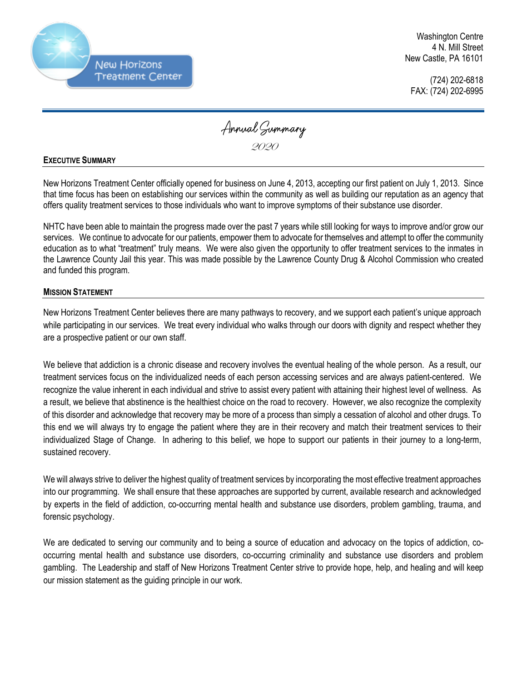

Washington Centre 4 N. Mill Street New Castle, PA 16101

(724) 202-6818 FAX: (724) 202-6995

Annual Summary 2020

## **EXECUTIVE SUMMARY**

New Horizons Treatment Center officially opened for business on June 4, 2013, accepting our first patient on July 1, 2013. Since that time focus has been on establishing our services within the community as well as building our reputation as an agency that offers quality treatment services to those individuals who want to improve symptoms of their substance use disorder.

NHTC have been able to maintain the progress made over the past 7 years while still looking for ways to improve and/or grow our services. We continue to advocate for our patients, empower them to advocate for themselves and attempt to offer the community education as to what "treatment" truly means. We were also given the opportunity to offer treatment services to the inmates in the Lawrence County Jail this year. This was made possible by the Lawrence County Drug & Alcohol Commission who created and funded this program.

## **MISSION STATEMENT**

New Horizons Treatment Center believes there are many pathways to recovery, and we support each patient's unique approach while participating in our services. We treat every individual who walks through our doors with dignity and respect whether they are a prospective patient or our own staff.

We believe that addiction is a chronic disease and recovery involves the eventual healing of the whole person. As a result, our treatment services focus on the individualized needs of each person accessing services and are always patient-centered. We recognize the value inherent in each individual and strive to assist every patient with attaining their highest level of wellness. As a result, we believe that abstinence is the healthiest choice on the road to recovery. However, we also recognize the complexity of this disorder and acknowledge that recovery may be more of a process than simply a cessation of alcohol and other drugs. To this end we will always try to engage the patient where they are in their recovery and match their treatment services to their individualized Stage of Change. In adhering to this belief, we hope to support our patients in their journey to a long-term, sustained recovery.

We will always strive to deliver the highest quality of treatment services by incorporating the most effective treatment approaches into our programming. We shall ensure that these approaches are supported by current, available research and acknowledged by experts in the field of addiction, co-occurring mental health and substance use disorders, problem gambling, trauma, and forensic psychology.

We are dedicated to serving our community and to being a source of education and advocacy on the topics of addiction, cooccurring mental health and substance use disorders, co-occurring criminality and substance use disorders and problem gambling. The Leadership and staff of New Horizons Treatment Center strive to provide hope, help, and healing and will keep our mission statement as the guiding principle in our work.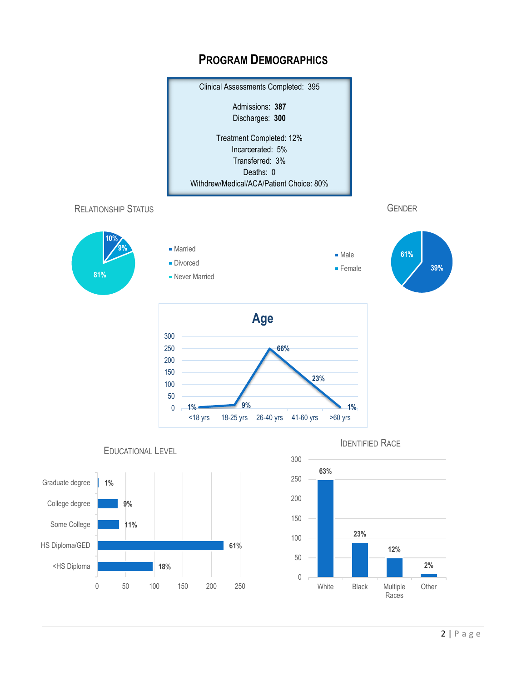

## **PROGRAM DEMOGRAPHICS**